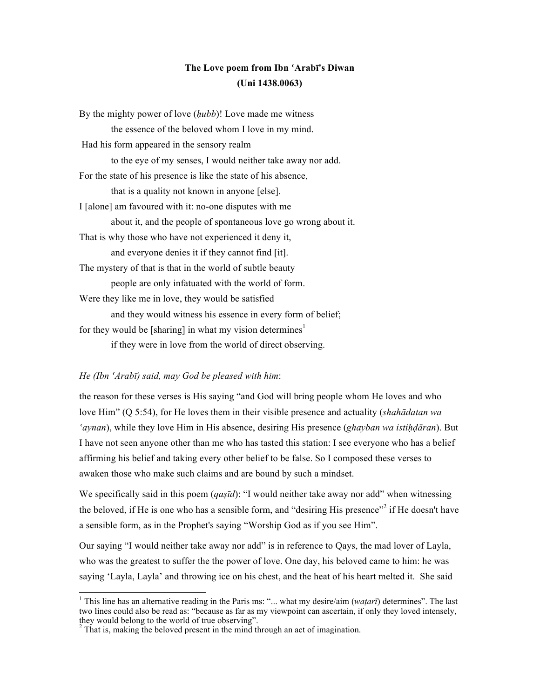## **The Love poem from Ibn ʿArabī's Diwan (Uni 1438.0063)**

| By the mighty power of love <i>(hubb)</i> ! Love made me witness      |
|-----------------------------------------------------------------------|
| the essence of the beloved whom I love in my mind.                    |
| Had his form appeared in the sensory realm                            |
| to the eye of my senses, I would neither take away nor add.           |
| For the state of his presence is like the state of his absence,       |
| that is a quality not known in anyone [else].                         |
| I [alone] am favoured with it: no-one disputes with me                |
| about it, and the people of spontaneous love go wrong about it.       |
| That is why those who have not experienced it deny it,                |
| and everyone denies it if they cannot find [it].                      |
| The mystery of that is that in the world of subtle beauty             |
| people are only infatuated with the world of form.                    |
| Were they like me in love, they would be satisfied                    |
| and they would witness his essence in every form of belief;           |
| for they would be [sharing] in what my vision determines <sup>1</sup> |
| if they were in love from the world of direct observing.              |

## *He (Ibn ʿArabī) said, may God be pleased with him*:

the reason for these verses is His saying "and God will bring people whom He loves and who love Him" (Q 5:54), for He loves them in their visible presence and actuality (*shahādatan wa ʿaynan*), while they love Him in His absence, desiring His presence (*ghayban wa istiḥḍāran*). But I have not seen anyone other than me who has tasted this station: I see everyone who has a belief affirming his belief and taking every other belief to be false. So I composed these verses to awaken those who make such claims and are bound by such a mindset.

We specifically said in this poem (*qaşīd*): "I would neither take away nor add" when witnessing the beloved, if He is one who has a sensible form, and "desiring His presence"<sup>2</sup> if He doesn't have a sensible form, as in the Prophet's saying "Worship God as if you see Him".

Our saying "I would neither take away nor add" is in reference to Qays, the mad lover of Layla, who was the greatest to suffer the the power of love. One day, his beloved came to him: he was saying 'Layla, Layla' and throwing ice on his chest, and the heat of his heart melted it. She said

<sup>&</sup>lt;sup>1</sup> This line has an alternative reading in the Paris ms: "... what my desire/aim ( $watar\bar{\imath}$ ) determines". The last two lines could also be read as: "because as far as my viewpoint can ascertain, if only they loved intensely, they would belong to the world of true observing".

 $2$ <sup>2</sup> That is, making the beloved present in the mind through an act of imagination.